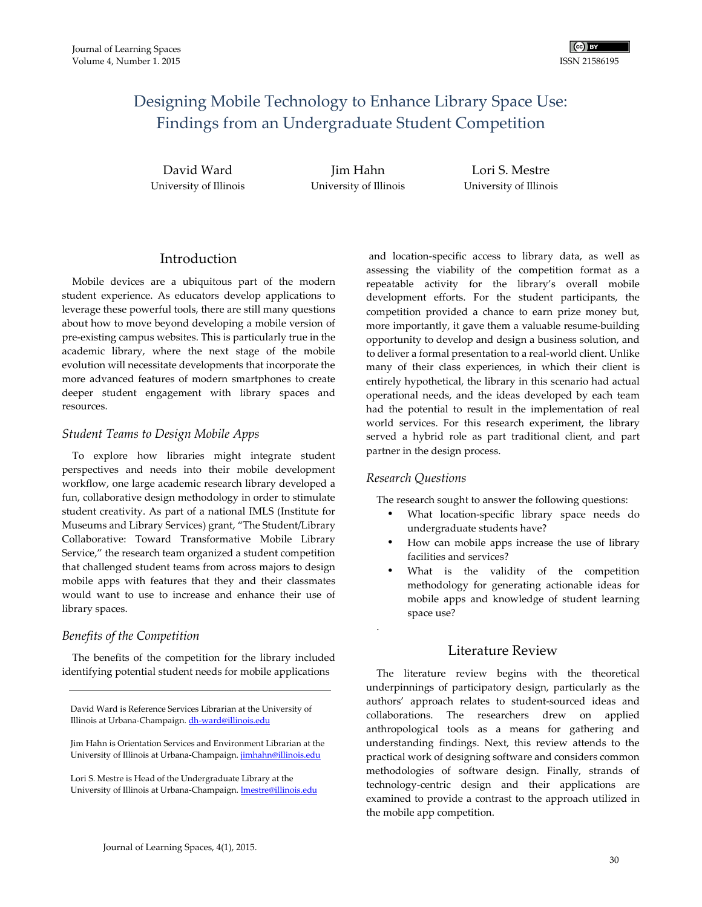# Designing Mobile Technology to Enhance Library Space Use: Findings from an Undergraduate Student Competition

David Ward University of Illinois

Jim Hahn University of Illinois

Lori S. Mestre University of Illinois

# Introduction

Mobile devices are a ubiquitous part of the modern student experience. As educators develop applications to leverage these powerful tools, there are still many questions about how to move beyond developing a mobile version of pre-existing campus websites. This is particularly true in the academic library, where the next stage of the mobile evolution will necessitate developments that incorporate the more advanced features of modern smartphones to create deeper student engagement with library spaces and resources.

# *Student Teams to Design Mobile Apps*

To explore how libraries might integrate student perspectives and needs into their mobile development workflow, one large academic research library developed a fun, collaborative design methodology in order to stimulate student creativity. As part of a national IMLS (Institute for Museums and Library Services) grant, "The Student/Library Collaborative: Toward Transformative Mobile Library Service," the research team organized a student competition that challenged student teams from across majors to design mobile apps with features that they and their classmates would want to use to increase and enhance their use of library spaces.

# *Benefits of the Competition*

The benefits of the competition for the library included identifying potential student needs for mobile applications

David Ward is Reference Services Librarian at the University of Illinois at Urbana-Champaign. dh-ward@illinois.edu

Jim Hahn is Orientation Services and Environment Librarian at the University of Illinois at Urbana-Champaign. *jimhahn@illinois.edu* 

Lori S. Mestre is Head of the Undergraduate Library at the University of Illinois at Urbana-Champaign. lmestre@illinois.edu

 and location-specific access to library data, as well as assessing the viability of the competition format as a repeatable activity for the library's overall mobile development efforts. For the student participants, the competition provided a chance to earn prize money but, more importantly, it gave them a valuable resume-building opportunity to develop and design a business solution, and to deliver a formal presentation to a real-world client. Unlike many of their class experiences, in which their client is entirely hypothetical, the library in this scenario had actual operational needs, and the ideas developed by each team had the potential to result in the implementation of real world services. For this research experiment, the library served a hybrid role as part traditional client, and part partner in the design process.

# *Research Questions*

.

The research sought to answer the following questions:

- What location-specific library space needs do undergraduate students have?
- How can mobile apps increase the use of library facilities and services?
- What is the validity of the competition methodology for generating actionable ideas for mobile apps and knowledge of student learning space use?

# Literature Review

The literature review begins with the theoretical underpinnings of participatory design, particularly as the authors' approach relates to student-sourced ideas and collaborations. The researchers drew on applied anthropological tools as a means for gathering and understanding findings. Next, this review attends to the practical work of designing software and considers common methodologies of software design. Finally, strands of technology-centric design and their applications are examined to provide a contrast to the approach utilized in the mobile app competition.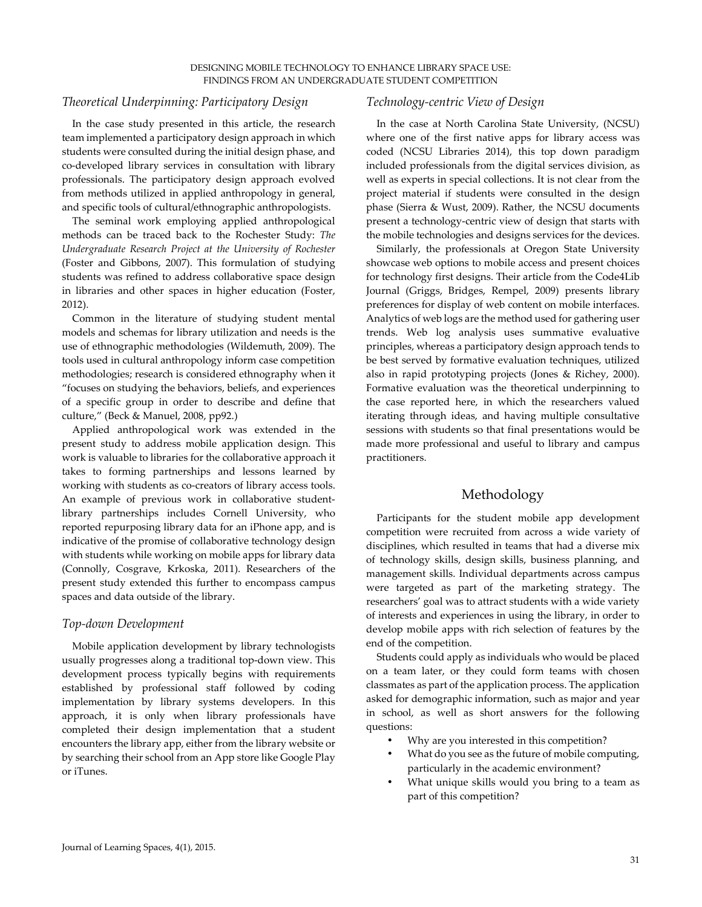### *Theoretical Underpinning: Participatory Design*

In the case study presented in this article, the research team implemented a participatory design approach in which students were consulted during the initial design phase, and co-developed library services in consultation with library professionals. The participatory design approach evolved from methods utilized in applied anthropology in general, and specific tools of cultural/ethnographic anthropologists.

The seminal work employing applied anthropological methods can be traced back to the Rochester Study: *The Undergraduate Research Project at the University of Rochester*  (Foster and Gibbons, 2007). This formulation of studying students was refined to address collaborative space design in libraries and other spaces in higher education (Foster, 2012).

Common in the literature of studying student mental models and schemas for library utilization and needs is the use of ethnographic methodologies (Wildemuth, 2009). The tools used in cultural anthropology inform case competition methodologies; research is considered ethnography when it "focuses on studying the behaviors, beliefs, and experiences of a specific group in order to describe and define that culture," (Beck & Manuel, 2008, pp92.)

Applied anthropological work was extended in the present study to address mobile application design. This work is valuable to libraries for the collaborative approach it takes to forming partnerships and lessons learned by working with students as co-creators of library access tools. An example of previous work in collaborative studentlibrary partnerships includes Cornell University, who reported repurposing library data for an iPhone app, and is indicative of the promise of collaborative technology design with students while working on mobile apps for library data (Connolly, Cosgrave, Krkoska, 2011). Researchers of the present study extended this further to encompass campus spaces and data outside of the library.

#### *Top-down Development*

Mobile application development by library technologists usually progresses along a traditional top-down view. This development process typically begins with requirements established by professional staff followed by coding implementation by library systems developers. In this approach, it is only when library professionals have completed their design implementation that a student encounters the library app, either from the library website or by searching their school from an App store like Google Play or iTunes.

#### *Technology-centric View of Design*

In the case at North Carolina State University, (NCSU) where one of the first native apps for library access was coded (NCSU Libraries 2014), this top down paradigm included professionals from the digital services division, as well as experts in special collections. It is not clear from the project material if students were consulted in the design phase (Sierra & Wust, 2009). Rather, the NCSU documents present a technology-centric view of design that starts with the mobile technologies and designs services for the devices.

Similarly, the professionals at Oregon State University showcase web options to mobile access and present choices for technology first designs. Their article from the Code4Lib Journal (Griggs, Bridges, Rempel, 2009) presents library preferences for display of web content on mobile interfaces. Analytics of web logs are the method used for gathering user trends. Web log analysis uses summative evaluative principles, whereas a participatory design approach tends to be best served by formative evaluation techniques, utilized also in rapid prototyping projects (Jones & Richey, 2000). Formative evaluation was the theoretical underpinning to the case reported here, in which the researchers valued iterating through ideas, and having multiple consultative sessions with students so that final presentations would be made more professional and useful to library and campus practitioners.

# Methodology

Participants for the student mobile app development competition were recruited from across a wide variety of disciplines, which resulted in teams that had a diverse mix of technology skills, design skills, business planning, and management skills. Individual departments across campus were targeted as part of the marketing strategy. The researchers' goal was to attract students with a wide variety of interests and experiences in using the library, in order to develop mobile apps with rich selection of features by the end of the competition.

Students could apply as individuals who would be placed on a team later, or they could form teams with chosen classmates as part of the application process. The application asked for demographic information, such as major and year in school, as well as short answers for the following questions:

- Why are you interested in this competition?
- What do you see as the future of mobile computing, particularly in the academic environment?
- What unique skills would you bring to a team as part of this competition?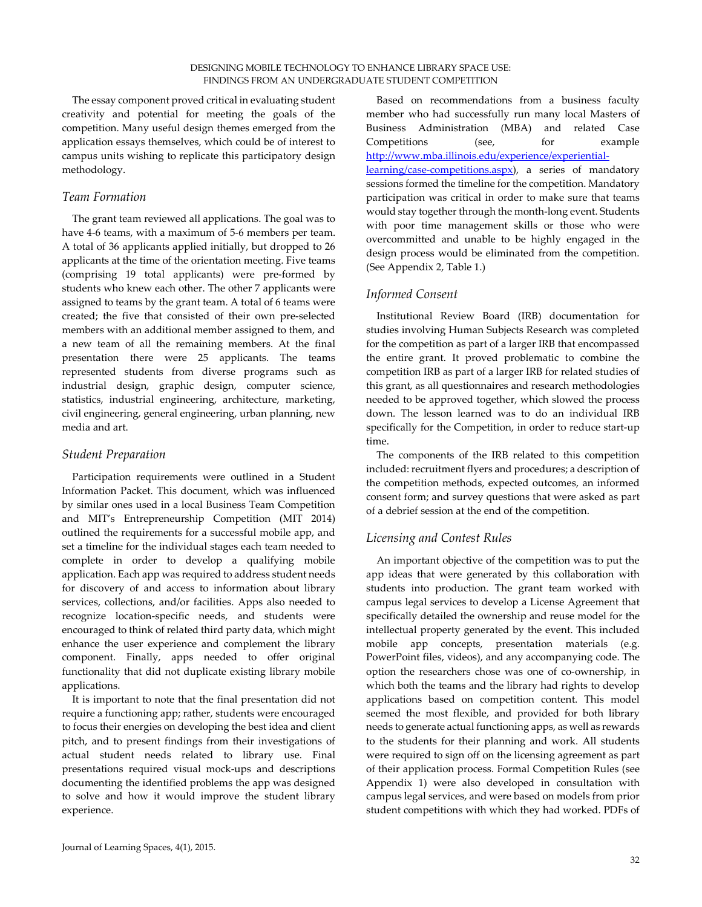The essay component proved critical in evaluating student creativity and potential for meeting the goals of the competition. Many useful design themes emerged from the application essays themselves, which could be of interest to campus units wishing to replicate this participatory design methodology.

# *Team Formation*

The grant team reviewed all applications. The goal was to have 4-6 teams, with a maximum of 5-6 members per team. A total of 36 applicants applied initially, but dropped to 26 applicants at the time of the orientation meeting. Five teams (comprising 19 total applicants) were pre-formed by students who knew each other. The other 7 applicants were assigned to teams by the grant team. A total of 6 teams were created; the five that consisted of their own pre-selected members with an additional member assigned to them, and a new team of all the remaining members. At the final presentation there were 25 applicants. The teams represented students from diverse programs such as industrial design, graphic design, computer science, statistics, industrial engineering, architecture, marketing, civil engineering, general engineering, urban planning, new media and art.

### *Student Preparation*

Participation requirements were outlined in a Student Information Packet. This document, which was influenced by similar ones used in a local Business Team Competition and MIT's Entrepreneurship Competition (MIT 2014) outlined the requirements for a successful mobile app, and set a timeline for the individual stages each team needed to complete in order to develop a qualifying mobile application. Each app was required to address student needs for discovery of and access to information about library services, collections, and/or facilities. Apps also needed to recognize location-specific needs, and students were encouraged to think of related third party data, which might enhance the user experience and complement the library component. Finally, apps needed to offer original functionality that did not duplicate existing library mobile applications.

It is important to note that the final presentation did not require a functioning app; rather, students were encouraged to focus their energies on developing the best idea and client pitch, and to present findings from their investigations of actual student needs related to library use. Final presentations required visual mock-ups and descriptions documenting the identified problems the app was designed to solve and how it would improve the student library experience.

Based on recommendations from a business faculty member who had successfully run many local Masters of Business Administration (MBA) and related Case Competitions (see, for example http://www.mba.illinois.edu/experience/experientiallearning/case-competitions.aspx), a series of mandatory sessions formed the timeline for the competition. Mandatory participation was critical in order to make sure that teams would stay together through the month-long event. Students with poor time management skills or those who were overcommitted and unable to be highly engaged in the design process would be eliminated from the competition. (See Appendix 2, Table 1.)

# *Informed Consent*

Institutional Review Board (IRB) documentation for studies involving Human Subjects Research was completed for the competition as part of a larger IRB that encompassed the entire grant. It proved problematic to combine the competition IRB as part of a larger IRB for related studies of this grant, as all questionnaires and research methodologies needed to be approved together, which slowed the process down. The lesson learned was to do an individual IRB specifically for the Competition, in order to reduce start-up time.

The components of the IRB related to this competition included: recruitment flyers and procedures; a description of the competition methods, expected outcomes, an informed consent form; and survey questions that were asked as part of a debrief session at the end of the competition.

# *Licensing and Contest Rules*

An important objective of the competition was to put the app ideas that were generated by this collaboration with students into production. The grant team worked with campus legal services to develop a License Agreement that specifically detailed the ownership and reuse model for the intellectual property generated by the event. This included mobile app concepts, presentation materials (e.g. PowerPoint files, videos), and any accompanying code. The option the researchers chose was one of co-ownership, in which both the teams and the library had rights to develop applications based on competition content. This model seemed the most flexible, and provided for both library needs to generate actual functioning apps, as well as rewards to the students for their planning and work. All students were required to sign off on the licensing agreement as part of their application process. Formal Competition Rules (see Appendix 1) were also developed in consultation with campus legal services, and were based on models from prior student competitions with which they had worked. PDFs of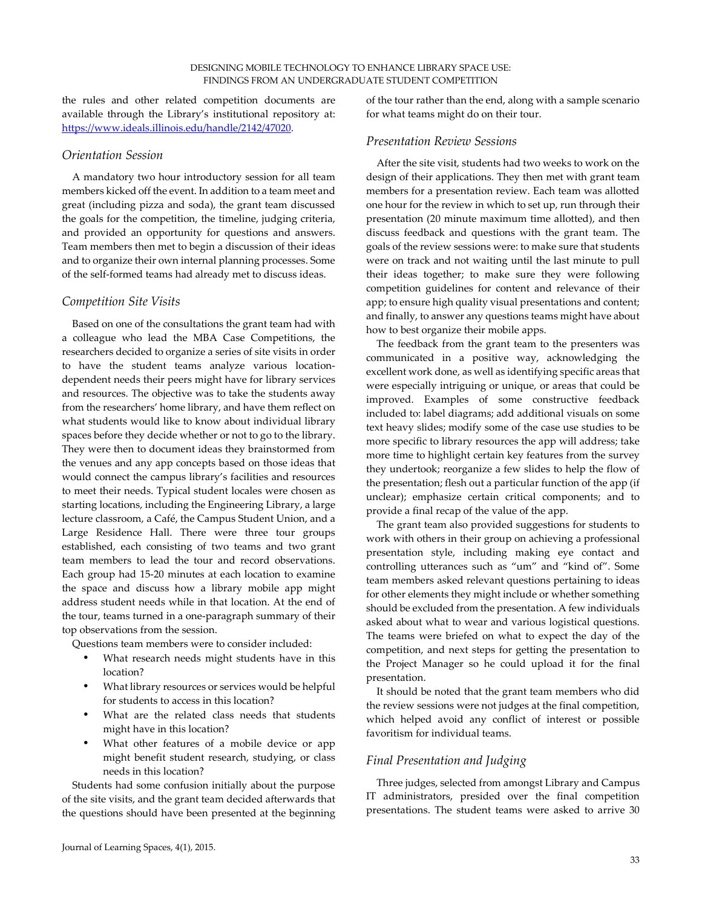the rules and other related competition documents are available through the Library's institutional repository at: https://www.ideals.illinois.edu/handle/2142/47020.

# *Orientation Session*

A mandatory two hour introductory session for all team members kicked off the event. In addition to a team meet and great (including pizza and soda), the grant team discussed the goals for the competition, the timeline, judging criteria, and provided an opportunity for questions and answers. Team members then met to begin a discussion of their ideas and to organize their own internal planning processes. Some of the self-formed teams had already met to discuss ideas.

### *Competition Site Visits*

Based on one of the consultations the grant team had with a colleague who lead the MBA Case Competitions, the researchers decided to organize a series of site visits in order to have the student teams analyze various locationdependent needs their peers might have for library services and resources. The objective was to take the students away from the researchers' home library, and have them reflect on what students would like to know about individual library spaces before they decide whether or not to go to the library. They were then to document ideas they brainstormed from the venues and any app concepts based on those ideas that would connect the campus library's facilities and resources to meet their needs. Typical student locales were chosen as starting locations, including the Engineering Library, a large lecture classroom, a Café, the Campus Student Union, and a Large Residence Hall. There were three tour groups established, each consisting of two teams and two grant team members to lead the tour and record observations. Each group had 15-20 minutes at each location to examine the space and discuss how a library mobile app might address student needs while in that location. At the end of the tour, teams turned in a one-paragraph summary of their top observations from the session.

Questions team members were to consider included:

- What research needs might students have in this location?
- What library resources or services would be helpful for students to access in this location?
- What are the related class needs that students might have in this location?
- What other features of a mobile device or app might benefit student research, studying, or class needs in this location?

Students had some confusion initially about the purpose of the site visits, and the grant team decided afterwards that the questions should have been presented at the beginning of the tour rather than the end, along with a sample scenario for what teams might do on their tour.

#### *Presentation Review Sessions*

After the site visit, students had two weeks to work on the design of their applications. They then met with grant team members for a presentation review. Each team was allotted one hour for the review in which to set up, run through their presentation (20 minute maximum time allotted), and then discuss feedback and questions with the grant team. The goals of the review sessions were: to make sure that students were on track and not waiting until the last minute to pull their ideas together; to make sure they were following competition guidelines for content and relevance of their app; to ensure high quality visual presentations and content; and finally, to answer any questions teams might have about how to best organize their mobile apps.

The feedback from the grant team to the presenters was communicated in a positive way, acknowledging the excellent work done, as well as identifying specific areas that were especially intriguing or unique, or areas that could be improved. Examples of some constructive feedback included to: label diagrams; add additional visuals on some text heavy slides; modify some of the case use studies to be more specific to library resources the app will address; take more time to highlight certain key features from the survey they undertook; reorganize a few slides to help the flow of the presentation; flesh out a particular function of the app (if unclear); emphasize certain critical components; and to provide a final recap of the value of the app.

The grant team also provided suggestions for students to work with others in their group on achieving a professional presentation style, including making eye contact and controlling utterances such as "um" and "kind of". Some team members asked relevant questions pertaining to ideas for other elements they might include or whether something should be excluded from the presentation. A few individuals asked about what to wear and various logistical questions. The teams were briefed on what to expect the day of the competition, and next steps for getting the presentation to the Project Manager so he could upload it for the final presentation.

It should be noted that the grant team members who did the review sessions were not judges at the final competition, which helped avoid any conflict of interest or possible favoritism for individual teams.

# *Final Presentation and Judging*

Three judges, selected from amongst Library and Campus IT administrators, presided over the final competition presentations. The student teams were asked to arrive 30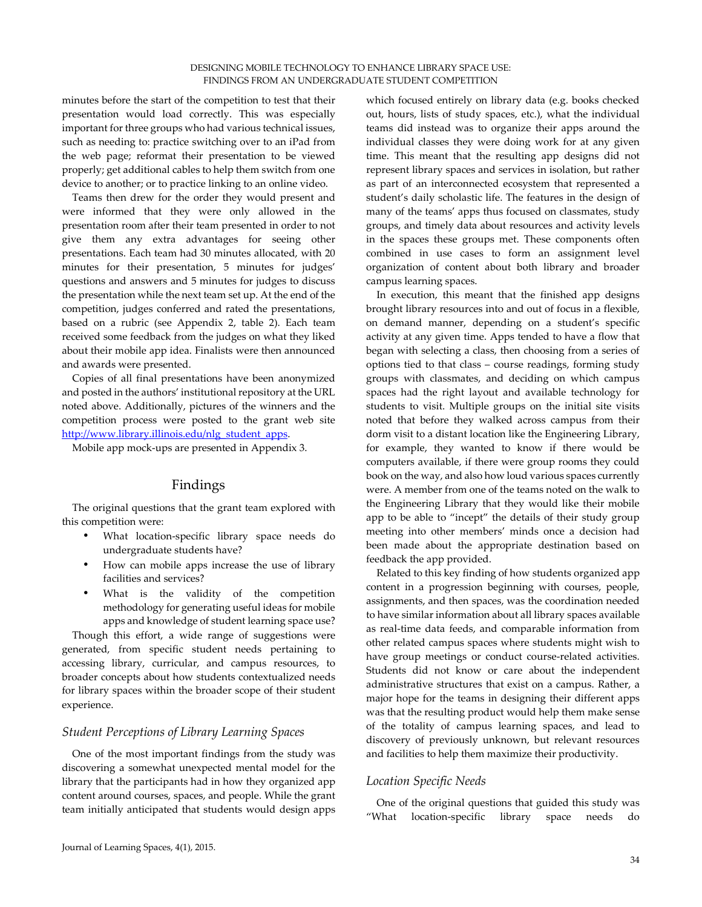minutes before the start of the competition to test that their presentation would load correctly. This was especially important for three groups who had various technical issues, such as needing to: practice switching over to an iPad from the web page; reformat their presentation to be viewed properly; get additional cables to help them switch from one device to another; or to practice linking to an online video.

Teams then drew for the order they would present and were informed that they were only allowed in the presentation room after their team presented in order to not give them any extra advantages for seeing other presentations. Each team had 30 minutes allocated, with 20 minutes for their presentation, 5 minutes for judges' questions and answers and 5 minutes for judges to discuss the presentation while the next team set up. At the end of the competition, judges conferred and rated the presentations, based on a rubric (see Appendix 2, table 2). Each team received some feedback from the judges on what they liked about their mobile app idea. Finalists were then announced and awards were presented.

Copies of all final presentations have been anonymized and posted in the authors' institutional repository at the URL noted above. Additionally, pictures of the winners and the competition process were posted to the grant web site http://www.library.illinois.edu/nlg\_student\_apps.

Mobile app mock-ups are presented in Appendix 3.

# Findings

The original questions that the grant team explored with this competition were:

- What location-specific library space needs do undergraduate students have?
- How can mobile apps increase the use of library facilities and services?
- What is the validity of the competition methodology for generating useful ideas for mobile apps and knowledge of student learning space use?

Though this effort, a wide range of suggestions were generated, from specific student needs pertaining to accessing library, curricular, and campus resources, to broader concepts about how students contextualized needs for library spaces within the broader scope of their student experience.

#### *Student Perceptions of Library Learning Spaces*

One of the most important findings from the study was discovering a somewhat unexpected mental model for the library that the participants had in how they organized app content around courses, spaces, and people. While the grant team initially anticipated that students would design apps

which focused entirely on library data (e.g. books checked out, hours, lists of study spaces, etc.), what the individual teams did instead was to organize their apps around the individual classes they were doing work for at any given time. This meant that the resulting app designs did not represent library spaces and services in isolation, but rather as part of an interconnected ecosystem that represented a student's daily scholastic life. The features in the design of many of the teams' apps thus focused on classmates, study groups, and timely data about resources and activity levels in the spaces these groups met. These components often combined in use cases to form an assignment level organization of content about both library and broader campus learning spaces.

In execution, this meant that the finished app designs brought library resources into and out of focus in a flexible, on demand manner, depending on a student's specific activity at any given time. Apps tended to have a flow that began with selecting a class, then choosing from a series of options tied to that class – course readings, forming study groups with classmates, and deciding on which campus spaces had the right layout and available technology for students to visit. Multiple groups on the initial site visits noted that before they walked across campus from their dorm visit to a distant location like the Engineering Library, for example, they wanted to know if there would be computers available, if there were group rooms they could book on the way, and also how loud various spaces currently were. A member from one of the teams noted on the walk to the Engineering Library that they would like their mobile app to be able to "incept" the details of their study group meeting into other members' minds once a decision had been made about the appropriate destination based on feedback the app provided.

Related to this key finding of how students organized app content in a progression beginning with courses, people, assignments, and then spaces, was the coordination needed to have similar information about all library spaces available as real-time data feeds, and comparable information from other related campus spaces where students might wish to have group meetings or conduct course-related activities. Students did not know or care about the independent administrative structures that exist on a campus. Rather, a major hope for the teams in designing their different apps was that the resulting product would help them make sense of the totality of campus learning spaces, and lead to discovery of previously unknown, but relevant resources and facilities to help them maximize their productivity.

# *Location Specific Needs*

One of the original questions that guided this study was "What location-specific library space needs do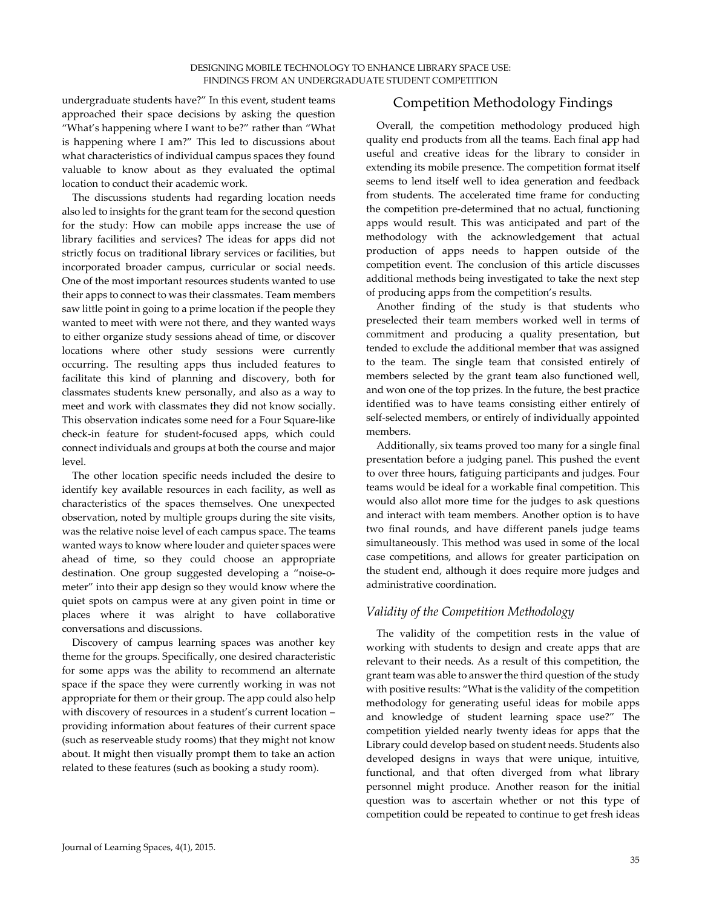undergraduate students have?" In this event, student teams approached their space decisions by asking the question "What's happening where I want to be?" rather than "What is happening where I am?" This led to discussions about what characteristics of individual campus spaces they found valuable to know about as they evaluated the optimal location to conduct their academic work.

The discussions students had regarding location needs also led to insights for the grant team for the second question for the study: How can mobile apps increase the use of library facilities and services? The ideas for apps did not strictly focus on traditional library services or facilities, but incorporated broader campus, curricular or social needs. One of the most important resources students wanted to use their apps to connect to was their classmates. Team members saw little point in going to a prime location if the people they wanted to meet with were not there, and they wanted ways to either organize study sessions ahead of time, or discover locations where other study sessions were currently occurring. The resulting apps thus included features to facilitate this kind of planning and discovery, both for classmates students knew personally, and also as a way to meet and work with classmates they did not know socially. This observation indicates some need for a Four Square-like check-in feature for student-focused apps, which could connect individuals and groups at both the course and major level.

The other location specific needs included the desire to identify key available resources in each facility, as well as characteristics of the spaces themselves. One unexpected observation, noted by multiple groups during the site visits, was the relative noise level of each campus space. The teams wanted ways to know where louder and quieter spaces were ahead of time, so they could choose an appropriate destination. One group suggested developing a "noise-ometer" into their app design so they would know where the quiet spots on campus were at any given point in time or places where it was alright to have collaborative conversations and discussions.

Discovery of campus learning spaces was another key theme for the groups. Specifically, one desired characteristic for some apps was the ability to recommend an alternate space if the space they were currently working in was not appropriate for them or their group. The app could also help with discovery of resources in a student's current location – providing information about features of their current space (such as reserveable study rooms) that they might not know about. It might then visually prompt them to take an action related to these features (such as booking a study room).

# Competition Methodology Findings

Overall, the competition methodology produced high quality end products from all the teams. Each final app had useful and creative ideas for the library to consider in extending its mobile presence. The competition format itself seems to lend itself well to idea generation and feedback from students. The accelerated time frame for conducting the competition pre-determined that no actual, functioning apps would result. This was anticipated and part of the methodology with the acknowledgement that actual production of apps needs to happen outside of the competition event. The conclusion of this article discusses additional methods being investigated to take the next step of producing apps from the competition's results.

Another finding of the study is that students who preselected their team members worked well in terms of commitment and producing a quality presentation, but tended to exclude the additional member that was assigned to the team. The single team that consisted entirely of members selected by the grant team also functioned well, and won one of the top prizes. In the future, the best practice identified was to have teams consisting either entirely of self-selected members, or entirely of individually appointed members.

Additionally, six teams proved too many for a single final presentation before a judging panel. This pushed the event to over three hours, fatiguing participants and judges. Four teams would be ideal for a workable final competition. This would also allot more time for the judges to ask questions and interact with team members. Another option is to have two final rounds, and have different panels judge teams simultaneously. This method was used in some of the local case competitions, and allows for greater participation on the student end, although it does require more judges and administrative coordination.

# *Validity of the Competition Methodology*

The validity of the competition rests in the value of working with students to design and create apps that are relevant to their needs. As a result of this competition, the grant team was able to answer the third question of the study with positive results: "What is the validity of the competition methodology for generating useful ideas for mobile apps and knowledge of student learning space use?" The competition yielded nearly twenty ideas for apps that the Library could develop based on student needs. Students also developed designs in ways that were unique, intuitive, functional, and that often diverged from what library personnel might produce. Another reason for the initial question was to ascertain whether or not this type of competition could be repeated to continue to get fresh ideas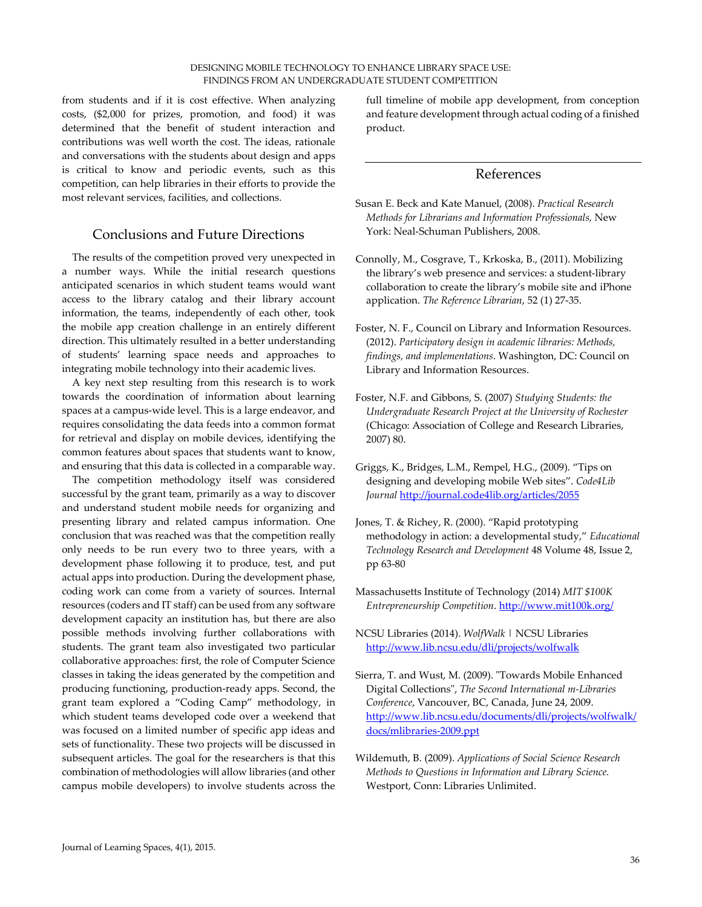from students and if it is cost effective. When analyzing costs, (\$2,000 for prizes, promotion, and food) it was determined that the benefit of student interaction and contributions was well worth the cost. The ideas, rationale and conversations with the students about design and apps is critical to know and periodic events, such as this competition, can help libraries in their efforts to provide the most relevant services, facilities, and collections.

# Conclusions and Future Directions

The results of the competition proved very unexpected in a number ways. While the initial research questions anticipated scenarios in which student teams would want access to the library catalog and their library account information, the teams, independently of each other, took the mobile app creation challenge in an entirely different direction. This ultimately resulted in a better understanding of students' learning space needs and approaches to integrating mobile technology into their academic lives.

A key next step resulting from this research is to work towards the coordination of information about learning spaces at a campus-wide level. This is a large endeavor, and requires consolidating the data feeds into a common format for retrieval and display on mobile devices, identifying the common features about spaces that students want to know, and ensuring that this data is collected in a comparable way.

The competition methodology itself was considered successful by the grant team, primarily as a way to discover and understand student mobile needs for organizing and presenting library and related campus information. One conclusion that was reached was that the competition really only needs to be run every two to three years, with a development phase following it to produce, test, and put actual apps into production. During the development phase, coding work can come from a variety of sources. Internal resources (coders and IT staff) can be used from any software development capacity an institution has, but there are also possible methods involving further collaborations with students. The grant team also investigated two particular collaborative approaches: first, the role of Computer Science classes in taking the ideas generated by the competition and producing functioning, production-ready apps. Second, the grant team explored a "Coding Camp" methodology, in which student teams developed code over a weekend that was focused on a limited number of specific app ideas and sets of functionality. These two projects will be discussed in subsequent articles. The goal for the researchers is that this combination of methodologies will allow libraries (and other campus mobile developers) to involve students across the

full timeline of mobile app development, from conception and feature development through actual coding of a finished product.

# References

- Susan E. Beck and Kate Manuel, (2008). *Practical Research Methods for Librarians and Information Professionals,* New York: Neal-Schuman Publishers, 2008.
- Connolly, M., Cosgrave, T., Krkoska, B., (2011). Mobilizing the library's web presence and services: a student-library collaboration to create the library's mobile site and iPhone application. *The Reference Librarian*, 52 (1) 27-35.
- Foster, N. F., Council on Library and Information Resources. (2012). *Participatory design in academic libraries: Methods, findings, and implementations*. Washington, DC: Council on Library and Information Resources.
- Foster, N.F. and Gibbons, S. (2007) *Studying Students: the Undergraduate Research Project at the University of Rochester* (Chicago: Association of College and Research Libraries, 2007) 80.
- Griggs, K., Bridges, L.M., Rempel, H.G., (2009). "Tips on designing and developing mobile Web sites". *Code4Lib Journal* http://journal.code4lib.org/articles/2055
- Jones, T. & Richey, R. (2000). "Rapid prototyping methodology in action: a developmental study," *Educational Technology Research and Development* 48 Volume 48, Issue 2, pp 63-80
- Massachusetts Institute of Technology (2014) *MIT \$100K Entrepreneurship Competition*. http://www.mit100k.org/
- NCSU Libraries (2014). *WolfWalk* | NCSU Libraries http://www.lib.ncsu.edu/dli/projects/wolfwalk
- Sierra, T. and Wust, M. (2009). "Towards Mobile Enhanced Digital Collections", *The Second International m-Libraries Conference*, Vancouver, BC, Canada, June 24, 2009. http://www.lib.ncsu.edu/documents/dli/projects/wolfwalk/ docs/mlibraries-2009.ppt
- Wildemuth, B. (2009). *Applications of Social Science Research Methods to Questions in Information and Library Science.*  Westport, Conn: Libraries Unlimited.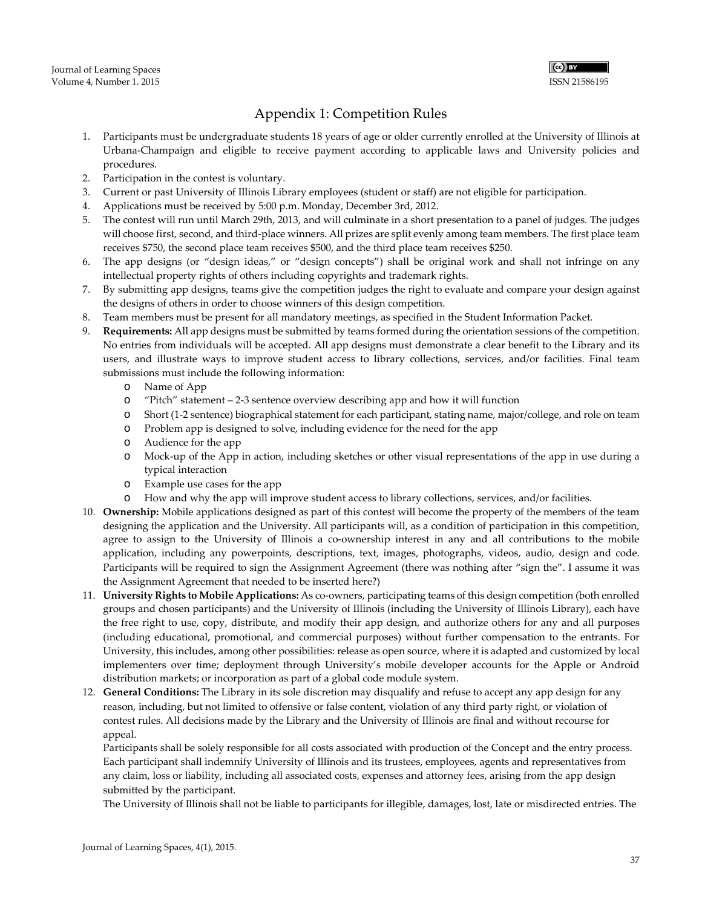

# Appendix 1: Competition Rules

- 1. Participants must be undergraduate students 18 years of age or older currently enrolled at the University of Illinois at Urbana-Champaign and eligible to receive payment according to applicable laws and University policies and procedures.
- 2. Participation in the contest is voluntary.
- 3. Current or past University of Illinois Library employees (student or staff) are not eligible for participation.
- 4. Applications must be received by 5:00 p.m. Monday, December 3rd, 2012.
- 5. The contest will run until March 29th, 2013, and will culminate in a short presentation to a panel of judges. The judges will choose first, second, and third-place winners. All prizes are split evenly among team members. The first place team receives \$750, the second place team receives \$500, and the third place team receives \$250.
- 6. The app designs (or "design ideas," or "design concepts") shall be original work and shall not infringe on any intellectual property rights of others including copyrights and trademark rights.
- 7. By submitting app designs, teams give the competition judges the right to evaluate and compare your design against the designs of others in order to choose winners of this design competition.
- 8. Team members must be present for all mandatory meetings, as specified in the Student Information Packet.
- 9. **Requirements:** All app designs must be submitted by teams formed during the orientation sessions of the competition. No entries from individuals will be accepted. All app designs must demonstrate a clear benefit to the Library and its users, and illustrate ways to improve student access to library collections, services, and/or facilities. Final team submissions must include the following information:
	- o Name of App
	- o "Pitch" statement 2-3 sentence overview describing app and how it will function
	- o Short (1-2 sentence) biographical statement for each participant, stating name, major/college, and role on team
	- o Problem app is designed to solve, including evidence for the need for the app
	- o Audience for the app
	- o Mock-up of the App in action, including sketches or other visual representations of the app in use during a typical interaction
	- o Example use cases for the app
	- o How and why the app will improve student access to library collections, services, and/or facilities.
- 10. **Ownership:** Mobile applications designed as part of this contest will become the property of the members of the team designing the application and the University. All participants will, as a condition of participation in this competition, agree to assign to the University of Illinois a co-ownership interest in any and all contributions to the mobile application, including any powerpoints, descriptions, text, images, photographs, videos, audio, design and code. Participants will be required to sign the Assignment Agreement (there was nothing after "sign the". I assume it was the Assignment Agreement that needed to be inserted here?)
- 11. **University Rights to Mobile Applications:** As co-owners, participating teams of this design competition (both enrolled groups and chosen participants) and the University of Illinois (including the University of Illinois Library), each have the free right to use, copy, distribute, and modify their app design, and authorize others for any and all purposes (including educational, promotional, and commercial purposes) without further compensation to the entrants. For University, this includes, among other possibilities: release as open source, where it is adapted and customized by local implementers over time; deployment through University's mobile developer accounts for the Apple or Android distribution markets; or incorporation as part of a global code module system.
- 12. **General Conditions:** The Library in its sole discretion may disqualify and refuse to accept any app design for any reason, including, but not limited to offensive or false content, violation of any third party right, or violation of contest rules. All decisions made by the Library and the University of Illinois are final and without recourse for appeal.

Participants shall be solely responsible for all costs associated with production of the Concept and the entry process. Each participant shall indemnify University of Illinois and its trustees, employees, agents and representatives from any claim, loss or liability, including all associated costs, expenses and attorney fees, arising from the app design submitted by the participant.

The University of Illinois shall not be liable to participants for illegible, damages, lost, late or misdirected entries. The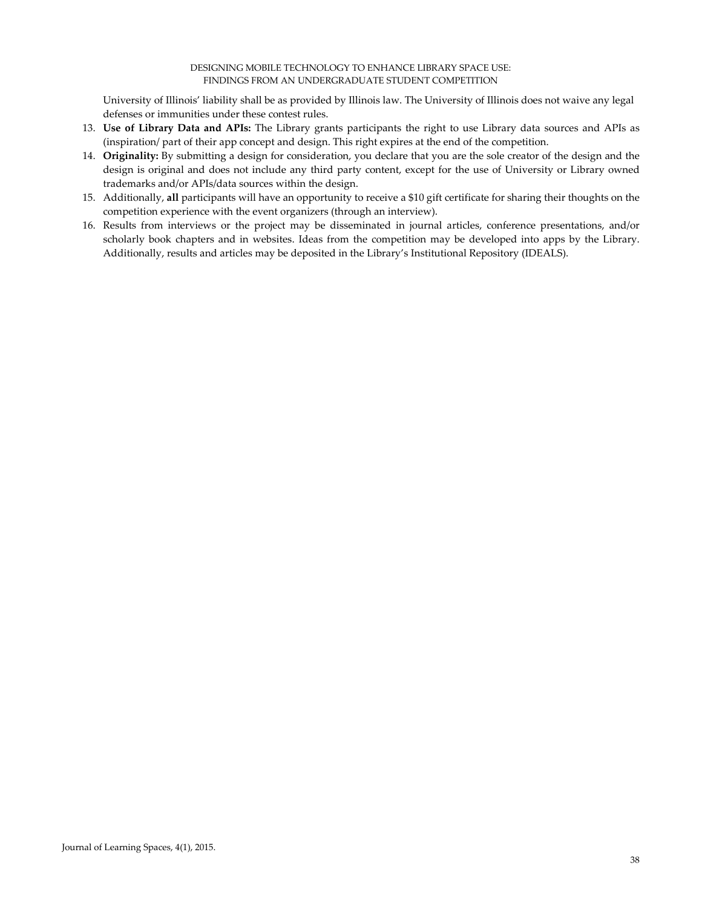#### DESIGNING MOBILE TECHNOLOGY TO ENHANCE LIBRARY SPACE USE: FINDINGS FROM AN UNDERGRADUATE STUDENT COMPETITION

University of Illinois' liability shall be as provided by Illinois law. The University of Illinois does not waive any legal defenses or immunities under these contest rules.

- 13. **Use of Library Data and APIs:** The Library grants participants the right to use Library data sources and APIs as (inspiration/ part of their app concept and design. This right expires at the end of the competition.
- 14. **Originality:** By submitting a design for consideration, you declare that you are the sole creator of the design and the design is original and does not include any third party content, except for the use of University or Library owned trademarks and/or APIs/data sources within the design.
- 15. Additionally, **all** participants will have an opportunity to receive a \$10 gift certificate for sharing their thoughts on the competition experience with the event organizers (through an interview).
- 16. Results from interviews or the project may be disseminated in journal articles, conference presentations, and/or scholarly book chapters and in websites. Ideas from the competition may be developed into apps by the Library. Additionally, results and articles may be deposited in the Library's Institutional Repository (IDEALS).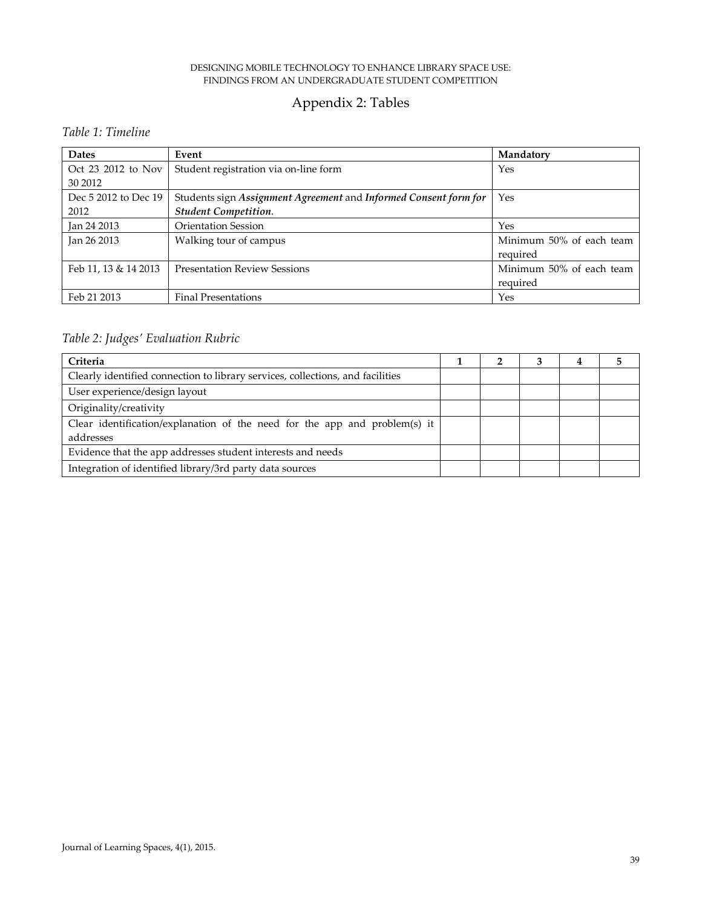#### DESIGNING MOBILE TECHNOLOGY TO ENHANCE LIBRARY SPACE USE: FINDINGS FROM AN UNDERGRADUATE STUDENT COMPETITION

# Appendix 2: Tables

# *Table 1: Timeline*

| <b>Dates</b>                  | Event                                                                                           | Mandatory                            |
|-------------------------------|-------------------------------------------------------------------------------------------------|--------------------------------------|
| Oct 23 2012 to Nov<br>30 2012 | Student registration via on-line form                                                           | Yes                                  |
| Dec 5 2012 to Dec 19<br>2012  | Students sign Assignment Agreement and Informed Consent form for<br><b>Student Competition.</b> | Yes                                  |
| Jan 24 2013                   | <b>Orientation Session</b>                                                                      | Yes                                  |
| Jan 26 2013                   | Walking tour of campus                                                                          | Minimum 50% of each team<br>required |
| Feb 11, 13 & 14 2013          | <b>Presentation Review Sessions</b>                                                             | Minimum 50% of each team<br>required |
| Feb 21 2013                   | <b>Final Presentations</b>                                                                      | Yes                                  |

# *Table 2: Judges' Evaluation Rubric*

| Criteria                                                                       |  |  |  |
|--------------------------------------------------------------------------------|--|--|--|
| Clearly identified connection to library services, collections, and facilities |  |  |  |
| User experience/design layout                                                  |  |  |  |
| Originality/creativity                                                         |  |  |  |
| Clear identification/explanation of the need for the app and problem(s) it     |  |  |  |
| addresses                                                                      |  |  |  |
| Evidence that the app addresses student interests and needs                    |  |  |  |
| Integration of identified library/3rd party data sources                       |  |  |  |